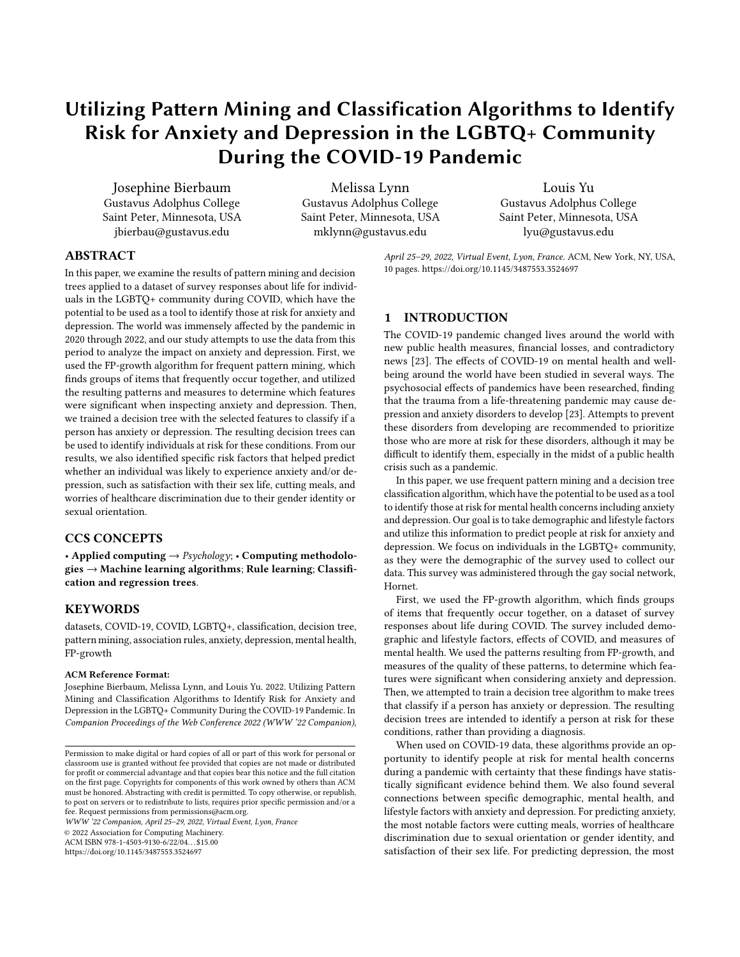# Utilizing Pattern Mining and Classification Algorithms to Identify Risk for Anxiety and Depression in the LGBTQ+ Community During the COVID-19 Pandemic

Josephine Bierbaum Gustavus Adolphus College Saint Peter, Minnesota, USA jbierbau@gustavus.edu

Melissa Lynn Gustavus Adolphus College Saint Peter, Minnesota, USA mklynn@gustavus.edu

Louis Yu Gustavus Adolphus College Saint Peter, Minnesota, USA lyu@gustavus.edu

# ABSTRACT

In this paper, we examine the results of pattern mining and decision trees applied to a dataset of survey responses about life for individuals in the LGBTQ+ community during COVID, which have the potential to be used as a tool to identify those at risk for anxiety and depression. The world was immensely affected by the pandemic in 2020 through 2022, and our study attempts to use the data from this period to analyze the impact on anxiety and depression. First, we used the FP-growth algorithm for frequent pattern mining, which finds groups of items that frequently occur together, and utilized the resulting patterns and measures to determine which features were significant when inspecting anxiety and depression. Then, we trained a decision tree with the selected features to classify if a person has anxiety or depression. The resulting decision trees can be used to identify individuals at risk for these conditions. From our results, we also identified specific risk factors that helped predict whether an individual was likely to experience anxiety and/or depression, such as satisfaction with their sex life, cutting meals, and worries of healthcare discrimination due to their gender identity or sexual orientation.

# CCS CONCEPTS

• Applied computing  $\rightarrow$  Psychology; • Computing methodologies → Machine learning algorithms; Rule learning; Classification and regression trees.

#### **KEYWORDS**

datasets, COVID-19, COVID, LGBTQ+, classification, decision tree, pattern mining, association rules, anxiety, depression, mental health, FP-growth

#### ACM Reference Format:

Josephine Bierbaum, Melissa Lynn, and Louis Yu. 2022. Utilizing Pattern Mining and Classification Algorithms to Identify Risk for Anxiety and Depression in the LGBTQ+ Community During the COVID-19 Pandemic. In Companion Proceedings of the Web Conference 2022 (WWW '22 Companion),

WWW '22 Companion, April 25–29, 2022, Virtual Event, Lyon, France

© 2022 Association for Computing Machinery.

ACM ISBN 978-1-4503-9130-6/22/04. . . \$15.00

<https://doi.org/10.1145/3487553.3524697>

April 25–29, 2022, Virtual Event, Lyon, France. ACM, New York, NY, USA, [10](#page-9-0) pages.<https://doi.org/10.1145/3487553.3524697>

# 1 INTRODUCTION

The COVID-19 pandemic changed lives around the world with new public health measures, financial losses, and contradictory news [23]. The effects of COVID-19 on mental health and wellbeing around the world have been studied in several ways. The psychosocial effects of pandemics have been researched, finding that the trauma from a life-threatening pandemic may cause depression and anxiety disorders to develop [23]. Attempts to prevent these disorders from developing are recommended to prioritize those who are more at risk for these disorders, although it may be difficult to identify them, especially in the midst of a public health crisis such as a pandemic.

In this paper, we use frequent pattern mining and a decision tree classification algorithm, which have the potential to be used as a tool to identify those at risk for mental health concerns including anxiety and depression. Our goal is to take demographic and lifestyle factors and utilize this information to predict people at risk for anxiety and depression. We focus on individuals in the LGBTQ+ community, as they were the demographic of the survey used to collect our data. This survey was administered through the gay social network, Hornet.

First, we used the FP-growth algorithm, which finds groups of items that frequently occur together, on a dataset of survey responses about life during COVID. The survey included demographic and lifestyle factors, effects of COVID, and measures of mental health. We used the patterns resulting from FP-growth, and measures of the quality of these patterns, to determine which features were significant when considering anxiety and depression. Then, we attempted to train a decision tree algorithm to make trees that classify if a person has anxiety or depression. The resulting decision trees are intended to identify a person at risk for these conditions, rather than providing a diagnosis.

When used on COVID-19 data, these algorithms provide an opportunity to identify people at risk for mental health concerns during a pandemic with certainty that these findings have statistically significant evidence behind them. We also found several connections between specific demographic, mental health, and lifestyle factors with anxiety and depression. For predicting anxiety, the most notable factors were cutting meals, worries of healthcare discrimination due to sexual orientation or gender identity, and satisfaction of their sex life. For predicting depression, the most

Permission to make digital or hard copies of all or part of this work for personal or classroom use is granted without fee provided that copies are not made or distributed for profit or commercial advantage and that copies bear this notice and the full citation on the first page. Copyrights for components of this work owned by others than ACM must be honored. Abstracting with credit is permitted. To copy otherwise, or republish, to post on servers or to redistribute to lists, requires prior specific permission and/or a fee. Request permissions from permissions@acm.org.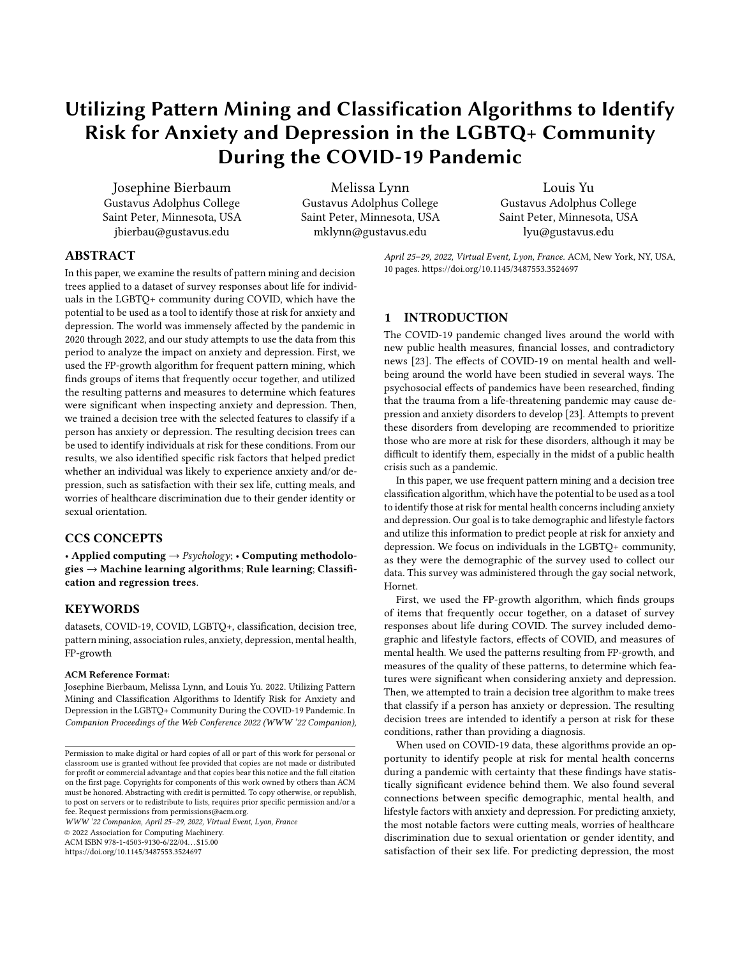notable factors were cutting meals, worries of healthcare discrimination due to sexual orientation or gender identity, satisfaction of their sex life, and age.

Our research makes the following contributions: 1) analyzes unique data to provide insight on how COVID-19 indirectly affected anxiety and depression in individuals in the LGBTQ+ community. 2) Constructs decision trees to identify those at risk for anxiety and depression using data specific to the COVID-19 pandemic. 3) Provides a tool to identify individuals in the LGBTQ+ community at risk for anxiety and depression during a similar crisis. 4) Identifies specific risk factors for anxiety and depression in individuals in the LGBTQ+ community during the COVID crisis.

# 2 DEFINITIONS

#### 2.1 Pattern Mining and FP-growth

Frequent pattern mining is the process of identifying items that frequently occur together in a dataset. It is useful for finding relationships such as associations and correlations in data [13]. Pattern mining is related to association learning, which is a rule-based machine learning method that finds relationships between variables with a focus on correlations originally proposed by Agrawal et al [1]. Most statistical tests can only determine if one item has a high likelihood of occurring with another item. However, pattern mining can find several items in a group simultaneously that tend to occur together.

FP-growth is a frequent pattern mining algorithm that arranges items in descending order by frequency to make a tree that recursively mines for significant patterns. [14] The tree is built using the list of frequent items to compress the database into a tree with the association information. The mining starts with all of the singlelength patterns, the items that frequently occur by themselves, and finds all of the frequent patterns containing two items with the single-length patterns at the end. These frequent patterns create another tree, and then the mining occurs again recursively until it reaches the maximal length patterns [13].

From the resulting set of frequent patterns, we can produce association rules, which use the presence of some items (the antecedents) to predict the presence of other items (the consequents). Measures for the quality of association rules include support, confidence, and lift. Support is a measure of how often the underlying pattern occurs in the dataset. To be considered "frequent", the support for a pattern must be above a chosen threshold. Confidence is a measure indicating how often the association rule is true by dividing the number of times the pattern occurs by the number of times the antecedent is present without the consequent. Lastly, lift measures how often the antecedent and consequent in an association rule occur together compared to what we would expect if they were statistically independent.

#### 2.2 Classification and Decision Trees

A classification model uses features to predict a categorical target variable. A decision tree classifier predicts the target variable with simple decision rules on the features. Machine learning can be used to construct a decision tree from labeled data. These algorithms use various metrics to determine the "best" feature to split on at each node of the tree. One such metric is Gini impurity, which we will use. Decision trees have the advantage of being highly interpretable since each decision node is a binary condition on a single feature.

# 3 BACKGROUND

# 3.1 COVID-19

In 2019, a coronavirus SARS-CoV-2 outbreak began in Hubei Province of the People's Republic of China and spread to other countries, becoming a global health emergency in early 2020. COVID-19 originated from SARS-CoV-2 transitioning and spreading from animals to humans at a seafood market in Wuhan, China [30]. The pandemic, known by the public as COVID-19, has continued into 2021 and 2022. During this time, people have faced unfamiliar public health measures that infringe on personal freedoms, reduction or loss of income and conflicting messages and news from authorities [23]. People were confined to their homes amidst new experiences of stay-at-home orders, quarantine, and isolation.

Lockdowns were put in place in many countries to prevent the spread of COVID-19, lasting approximately 35 days on average [4]. In some countries such as South Africa, only essential businesses remained open, and soldiers and police patrolled the streets to enforce the lockdown [16]. Many people stayed confined in their homes throughout most of 2020 and early 2021 before the vaccines were widely available to the public. Many workplaces and schools closed or moved online, and social gatherings were greatly discouraged. Research in disaster mental health has found that emotional distress is widespread among those affected, and COVID-19 was no different [23]. In a study of quarantine experiences and attitudes in China, more than 58% of those surveyed reported anxiety, 35% reported panic, and 16.6% reported helplessness [22].

# 3.2 Anxiety, Depression, and Dating During COVID

There are already several studies on people at risk for anxiety and depression. Women, unmarried people, and unemployed people are more likely to have current symptoms of depression [27]. In addition, cardiovascular disease, diabetes, asthma, smoking, physical inactivity, obesity, and heavy drinking are associated with lifetime diagnoses of anxiety and depression [27]. There has been substantial research on COVID-19 and its impact on anxiety and depression. Common coping mechanisms for stress due to COVID-19 included self-distraction, denial, substance use, behavioral disengagement, venting, planning, religion, and self-blame, and people with more stress engaged in these behaviors at a higher level [29]. The incidence of anxiety and depression was twice as common for individuals quarantining in an affected area compared to individuals quarantining in unaffected areas. They also concluded that community screening during an epidemic might reduce the risk of depression and anxiety [28].

Online dating has already been popular due to access and communication to a multitude of potential romantic partners. During the COVID-19 lockdown, all relationships, including romantic and sexual relationships, moved online as people were confined to their homes. Due to so much time alone, as well as some losing their jobs to the pandemic, single people spent more time using dating apps [8]. However, online dating also became a game or tactic to ease boredom, and also brought up issues of fully being able to trust the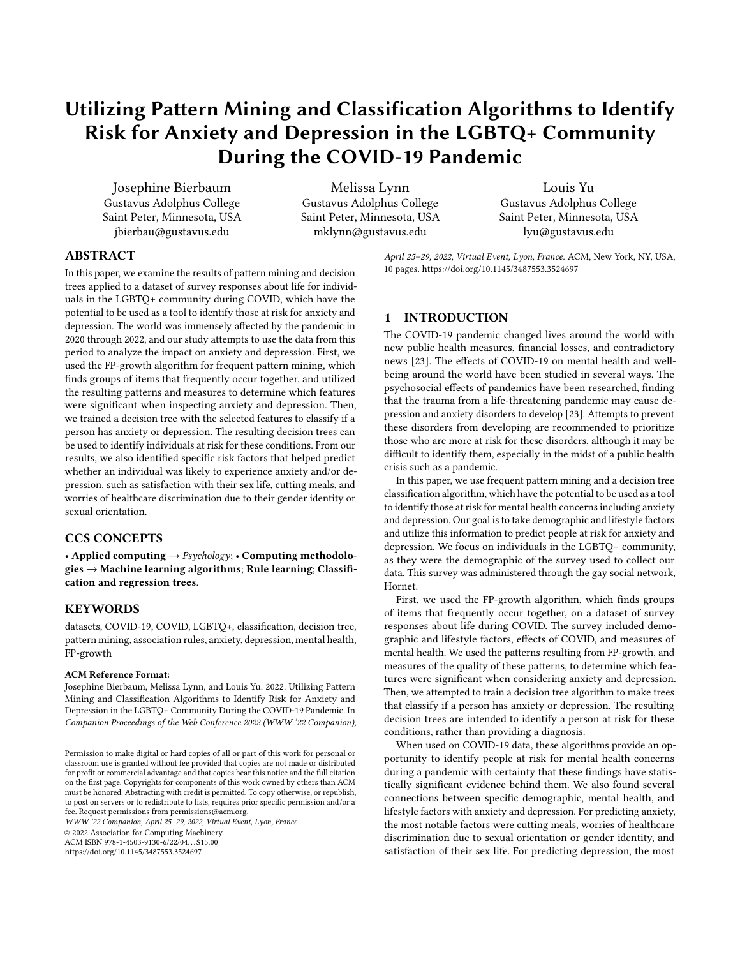people that they were talking to 12. Maintaining relationships instead of nding them during COVID-19 was di cult and stressful. People missed not being able to see their partners, di culty communicating, and a lack of external stimuli[12].

# 3.3 Hornet

Hornet is a gay social network with over 25 million users worldwide founded in 2011 by Christof Wittig, to inspire and empower gay men to create a global, connected community that moves society forward. It is the top gay dating app in several countries, including Brazil, France, Russia, Taiwan, and Turkey, and is rapidly gaining a week in the app and collectively sent 21 million messages a day using Hornet. Like many social media apps, the Hornet app contains a feed with a user's followed and nearby accounts and allows users to post short videos and messages.

# 4 RELATED WORKS

# 4.1 Pattern Mining

Several papers have been published on pattern mining algorithms and techniques [3][ 11][ 31]. Pattern mining was originally proposed in 1993 by Agrawal et all[. Since then, several pattern mining techniques have been developed, including Apriori and FPgrowth. Apriori is a downward closure property among frequent itemsets where each sub-itemset is frequent, observed by Agrawal and Srikant in 19942]. However, Apriori su ers from generating a large number of candidate sets and checks the candidates by repetitively scanning the database and checking with pattern matching. FP-growth, a method developed by Han et al, uses pattern fragment growth instead of candidate generation to mine all frequent itemsets [15].

# 4.2 Pattern Mining and Classication For Diseases

Pattern mining has been used to diagnose and identify risks for mental and physical disease 34 [7] 5]. Zhang, Long, and Ott developed a pattern mining strategy called AprioriGWAS, which used the Apriori algorithm and conditional permutations to control effects of singular variants when testing the e ects of gene variations [33]. Their pattern mining technique found 97% of the signi cant patterns found by exhaustive search and outperformed three classi- 5.1 pattern mining to discover patterns in activated brain areas to try to diagnose early Alzheimer's disease [Using image classi cation curacy and outperformed other recent computer-assisted methods an invitation to participate in a brief 58 question survey that infor diagnosing Alzheimer's disease.

Classi cation has also been used to diagnose and identify risks for diseases [17][ 10][ 20][ 24]. Salhi, Tari, and Kechadi used neural networks and support vector machines on heart health data to classify those with heart diseas  $2\frac{1}{2}$ . They had 93% accuracy in classifying between healthy and sick patients and found that neural networks performed best on their dataset. Koutsouleris et al used support vector machines to classify magnetic resonance images of healthy and at-risk mental state (ARMS) participants [ They

had approximately 81% accuracy classifying healthy and ARMS participants solely using structural neuroanatomical images.

# 4.3 Tools for Risk of Mental Illness During COVID

users in the United States. On average, users spend over 100 minutes similar assessments, and screened 22.8% of participants with anxi-There have been several screening tools developed for mental illness in response to COVID [ Chung et al. created the Stress and Anxiety to Viral Epidemics-9 (SAVE-9) scale to examine the e ects of COVID-19 on the stress and anxiety of healthcare workers with a two-factor structure for anxiety and work-related stress. They determined that their scale had similar reliability and validity of ety that did not have a high enough score for identifying anxiety with GAD-7, a common assessment for Generalized Anxiety Disorder. Lee developed the Coronavirus Anxiety Scale (CAS), which screens for possible anxiety, although the questionnaire focuses on anxiety and trauma-related reaction<sup>g</sup><sup>1</sup>. The questionnaire contained questions to assess social attitudes, psychological e ects, maladaptive coping, and functional impairment. Con rmatory factor analyses found that except for race, the scale measured anxiety similarly across di erent demographic groups, but was determined to still be valid for all groups.

# 4.4 Previous Work with the Dataset

The dataset that we used to train our models was previously used to investigate HIV treatments and care impacts of COVID-19 among gay men and and other men who have sex with men Santos et al found that gay men and MSM experienced consequences to their nances, mental health, and HIV testing and treatment. They concluded that the rates of anxiety and depression did not dier by HIV status, however, those who lost their jobs during the pandemic had higher rates of these mental health concerns. Of those who lost their jobs, 27.6% reported feeling depressed nearly every day in the prior two weeks, compared to 11.4% of those who did not lose their jobs. They recommended that better strategies to maintain health and well-being should be developed to address the unique needs of sub-populations of gay men and MSM, including immigrants, the uninsured, and racial and ethnic minorities.

# 5 EXPERIMENT SETUP

### The Data

cal genetic models for detecting genes. Chaves et al used association Our dataset was collected by a COVID-19 Disparities survey admindependent on the patterns they found, their model had 94.87% ac-Data was collected between April 16, 2020, and May 4, 2020, through istered by Hornet. Hornet wanted to understand how Coronavirus was impacting their users and conducted a survey using their app. cluded questions about their demographics, mental health, and the impacts of COVID-19 on their nancial, emotional, and physical wellbeing [26]. All 13031 participants were over 18 and provided informed consent, and due to the purpose of the app, a large majority of participants were male. 6814 (52.29%) participants had anxiety, 3797 (29.14%) did not have anxiety, and 2420 (18.57%) did not answer the question. In contrast, 4408 (33.83%) participants had depression, 6342 (48.67%) participants did not have depression, and 2281 (17.50%) participants did not answer the question.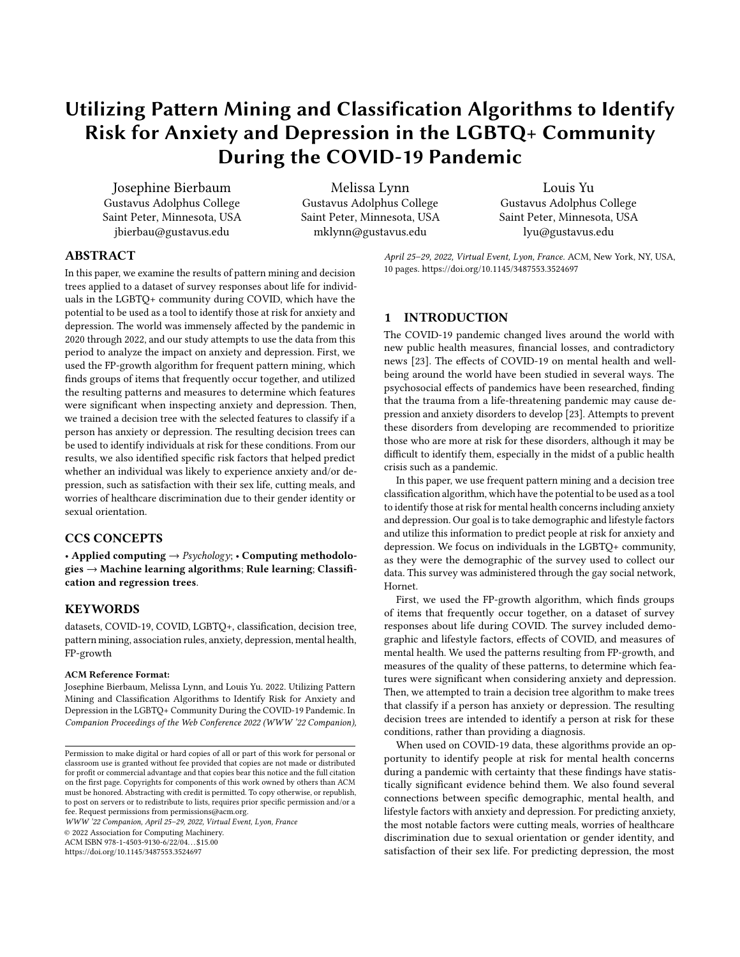To prepare and clean the data, we dropped repetitive and poorly framed questions (ex: Since the COVID-19 crisis began, have you been staying in?) to eliminate some noise. In order to prepare the data for frequent pattern mining, we bucketed values of variables to convert them to categorical variables with a small number of values. Data was bucketed to make continuous variables such as age into categories. Variables on a 5 point scale, such as on a scale of none, somewhat, moderately, very, and extremely were bucketed to 3 categories of low, medium and high. Questions with yes and no responses that had a measures of severity (slightly or extremely) were bucketed into either yes or no. Additionally, we converted each record to a list of its values. These values served as the items for frequent pattern mining. For example, for a frequent pattern with being physically safe and not cutting meals frequently occurring with no anxiety, being physically safe and not cutting meals are the items in that pattern.

To determine if someone had anxiety or depression, the PHQ-4 questionnaire was asked by the survet **[4]**. These questionnaire rates nervousness, worrying, hopelessness, and little interest in doing things on a scale from 0-3. These numbers are determined by how frequently these issues were experienced in the past 2 weeks, where 0 is not at all, 1 is several days, 2 is more than half of the days, and 3 is nearly every day for each problem. When adding scores together, a score greater than or equal to 3 for nervousness and worrying suggests anxiety, and a score greater than or equal to 3 for hopelessness and little interest in doing things suggests depression.

# 5.2 FP-growth and Decision Trees

We used the FP-growth algorithm from PySpark and the decision tree classier from Scikit-Learn. Due to a large amount of data and time to run FP-growth, we only generated frequent patterns with 8 or fewer items. We focused on results with anxiety and depression, so the decision tree classi er only used features contained in patterns with anxiety as a consequent for the anxiety model, and did the same with depression for our depression model.

# 6 RESULTS AND ANALYSIS

# 6.1 FP-growth

When training the FP-growth algorithm on our data, we experimented with changing the minimum support, minimum con dence, and the number of partitions, which determines the maximum number of antecedents in a pattern. We found that 3 or 4 antecedents were enough to yield most, if not all, signi cant association rules. We also found that after support gets very low (around .08), most patterns have several antecedents that were frequent in the data and hence have low lift, which indicated that the patterns are statistically insigni cant. For nding signi cant patterns in the data, we disregarded all patterns with a lift less than 1.2 and support less than .077, thresholds that were chosen experimentally.

6.1.1 AnxietyTable 1 shows some of the association rules mined with either anxiety or no anxiety as a consequent. These association rules indicate that the patterns from FP-growth align with what we would expect as possible conditions that would accompany an anxiety diagnosis. The lift is greater than 1 for every association rule,

| Antecedent                | Anxiety    | Conf | Lift | Sup  |
|---------------------------|------------|------|------|------|
| Lonely since COVID        | <b>Yes</b> | 0.37 | 1.88 | 0.13 |
| Low depressed             | <b>No</b>  | 0.88 | 1.69 | 0.33 |
| High happiness            | <b>No</b>  | 0.75 | 1.43 | 0.21 |
| Little suicidal ideation  | <b>No</b>  | 0.65 | 1.24 | 0.19 |
| Not lonely since COVID No |            | 0.75 | 1.43 | 0.16 |

Table 1: Anxiety Patterns Anticipated By Diagnosis

which shows that the variables occur together more frequently than they would if they were statistically independent. Therefore, we believe that the FP-Growth association rules may identify someone at risk of anxiety.

Table 2 contains a subset of association rules with anxiety as a consequent. The third and fourth antecedents are usually the same variables across all association rules, such as homosexuality being legal in their country of residence, drug use, and sex work. All association rules have a lift greater than 1, showing that the variables occur together more frequently than they would if they were statistically independent. Like in Table 1, association rules with anxiety tend to have a con dence around 30%, whereas association rules without anxiety have con dence around 70%.

Table 4 contains the association patterns with the most lift. These patterns are the most likely to occur together as opposed to statistically independent out of all of the anxiety association patterns. All of top lift patterns had Anxiety" as a consequent. The association pattern with the most lift shows that being gay and single have a strong relationship with anxiety. The con dence shows that 30% of people who were gay and single also had anxiety. The lift shows that someone having anxiety given that they are gay and single is 1.55x more likely than if it was statistically independent. The support shows that 8.17% of people in our dataset were gay, single, and anxious. Note that since this data was collected from a gay social apps used for purposes such as dating, and a majority of the people in our dataset had anxiety, this association pattern may be speci c to this dataset and may not generalize well to a larger population.

6.1.2 DepressioSimilar to Table 1, FP-growth identi ed association rules with depression as a consequent consistent with a depression diagnosis. High happiness and low anxiety, little interest, and worrying were all antecedents for low depression, whereas high worrying was an antecedent for high depression. This indicates that the patterns from FP-growth align with what we would expect as possible conditions that would accompany a depression diagnosis. Therefore, we believe that the association rules resulting from FP-growth may be useful for identifying someone at risk of depression.

Table 3 contains the association patterns with the most lift for depression. There were no association rules with depression as a consequent. To save space on the graph, Movement somewhat restricted" was shortened to Movement restricted". Similar to Table 2, the fourth and fth antecedents are usually the same variables across all association rules such as homosexuality being legal in their country of residence, sex work, and having access to masks. All association rules have a lift greater than 1, showing that the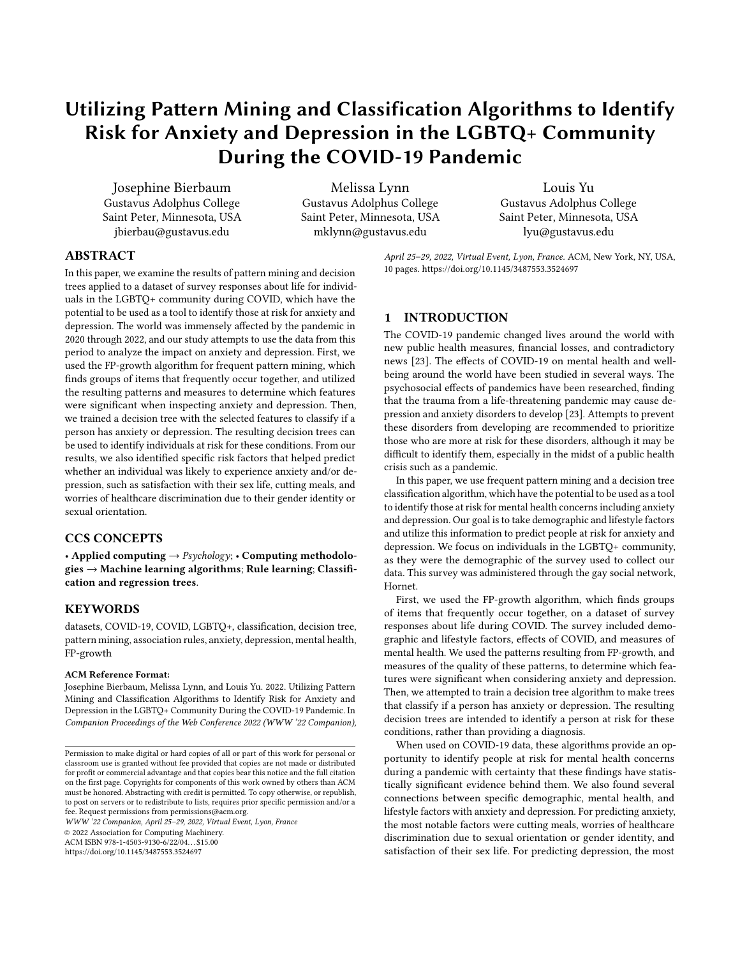variables occur together more frequently than they would if they were statistically independent. Association rules with no depression as a consequent tended to have con dence around 60-80%, and there were no association rules with depression as a consequent that met our thresholds.

Similar to Table 4, all of the top lift patterns had no depression as a consequent. The top lift association pattern shows that being emotionally safe, not losing health insurance, HIV negative, and homosexuality being legal in their country have a strong relationship with no depression. The con dence demonstrates that 82% of people who are emotionally safe, not losing health insurance, HIV negative, and homosexuality being legal in their country also did not have depression. The lift of this pattern shows that someone not having depression given that they are emotionally safe, not losing health insurance, HIV negative, and homosexuality being legal in their country is 2.2x more likely than if it was statistically independent. The support shows that 8.2% of people in our dataset being emotionally safe, not losing health insurance, HIV negative, and homosexuality being legal in their country, and are not depressed.

### 6.2 Decision Trees

A portion of the dataset had missing values for our target variables, and we dropped records with those missing values. We were able to use 72.8% of the data for predicting anxiety and 79.3% of the data <sub>con</sub> dence that the decisions chosen are statistically signi cant. for predicting depression. We chose to focus on decision trees since they could easily be used by a practitioner working with a patient to identify risk for anxiety or depression, and they are also highly interpretable for making policy decisions.

We trained our decision tree classi ers on 80% of the remaining data, holding out 20% for evaluation. We trained and generated trees on several di erent random splits, and the features at each node and the accuracy had minimal changes between each generation. The is unlikely to produce very high accuracy scores. Based on the optimal tree depth was determined using cross validation across 10 folds in a strati ed KFold, and picking the depth where testing accuracy maximizes, before the tree over-trained. The features for user language and country of residence were removed before training to help prevent the decision trees from over tting to the dataset.

6.2.1 Decision Trees with Anxiely begin with decision tree that attempts to classify survey participants as Anxious, or Not anxious . A graph of the decision tree depth against the training and testing accuracy is shown in Figure 1. We can see that the optimal depth is 3, which is the highest accuracy achieved before the depth of the tree increases and the training accuracy continues to increase while the testing accuracy remains relatively the same. Therefore, we trained our nal decision tree for anxiety to have a depth of 3.

Figure 3 shows the anxiety decision tree. Each node on the graph contains the likelihood of anxiety, amount of people with high and low anxiety during training, and the majority class at the node. This model had 68.68% accuracy. For reference, in the dataset, 35.78% of participants were Anxious", while 64.22% were Not Anxious". The precision was 64.65%, showing that out of all people that our model labeled with anxiety, 64.65% of people actually had it. 28.08%



the trade-o between precision and recall. The optimal tree had a small depth and may also be indicative of the limitations of the data. As stated earlier, some of the decisions were also present as consequents in the association patterns for anxiety, so we have

The model's accuracy of 68.72% shows signicant improvement over a naive classi er which classi es all people as Not Anxious, which would have an accuracy of 64.22%. The precision, recall, and F1 scores provide further evidence that the decision tree classi er is picking up on real patterns in the data. While an accuracy of 68.72% may not seem impressive out of context, it is a challenging problem to predict anxiety based on demographic and lifestyle factors, and comparison with a naive classier, as well as the precision, recall, and F1 scores, we believe this is a successful model.

Figure 2: Depression Depth and Accuracy Graph

recall demonstrates that out of everyone with anxiety, our model 6.2.2 Decision Trees with Depressrogure 2 shows a graph of identi ed 28.08% accurately. The F1 score was .3916 and captureshe decision tree depth against the training and testing accuracy.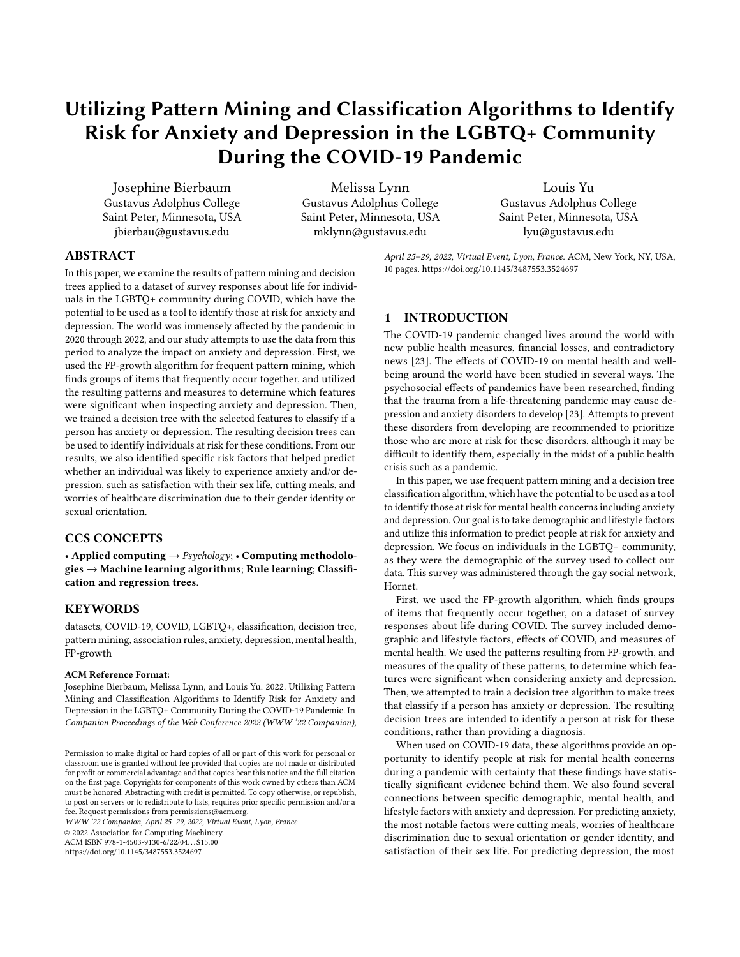We can see that the optimal depth is 4, which is the highest accuracy achieved before training accuracy continues to increase and testing accuracy decreases as the depth of the tree increases. Therefore, we  $_{[6]}$ trained our nal decision tree for depression to have a depth of 4.

We next consider the decision tree generated to classify participants as Depressed or Not Depressed. Figure 4 displays this tree. This classi er had an accuracy of 67.53%. In the dataset, 41% of participants were Depressed, while 59% were Not Depressed. 66.55% precision shows that out of all people that our model labeled with depression, 66.55% of people actually had it. The recall was [9] 42.49% demonstrates that out of everyone with depression, our model identi ed 42.49% accurately. The F1 score was .5186 and captures the trade-o between precision and recall. However, like the anxiety model, most of the decisions were present in the association rules for depression, so we have con dence that these decisions are [11] statistically signi cant.

The model predicting depression has an accuracy of 68%, while a naive classi er classifying all people as Not Depressed would [12] have an accuracy of 59%. The precision, recall, and F1 scores also  $q_{13}$ indicate that the decision tree classi er is identifying real patterns in the data. Similar to the model predicting anxiety, we believe this is a successful model, given the diculty of predicting depression from demographic and lifestyle factors.

# 7 CONCLUSION, DISCUSSION, AND FUTURE WORK

Our ndings can help to identify the risk of mental health concerns for individuals in the LGBTQ+ community. Our results could be used for making a simple and interpretable tool that practitioners could use to identify those at increased risk and intervene before anxiety or depression arises. Additionally, these results may provide insight to help policymakers in public health on issues concerning the mental health of individuals in the LGBTQ+ community.

While the association rules mined elucidate useful patterns in their own right, we also tried to use the results of frequent pattern mining for feature selection for our decision trees, by selecting features that appeared in signi cant patterns. However, for this dataset, it did not have a signi cant e ect on the results of our decision trees. This could be an avenue for future exploration on other datasets.

# 8 ACKNOWLEDGEMENTS

We would like to thank Sean Howell for bringing this dataset to our attention and providing us with access to the data.

This work was partially supported by the Je Roso Student-Faculty Research Fund of Gustavus Adolphus College.

# **REFERENCES**

- [1] R. Agrawal, T. Imieli«ski, and A. Swami. Mining association rules between sets of items in large database SIGMOD Rec22(2):207 216, June 1993.
- [2] R. Agrawal, R. Srikant, et al. Fast algorithms for mining association rule. P.to. 20th int. conf. very large data bases, VLMB ume 1215, pages 487 499, 1994.
- [3] O. Ahmed, R. A. Faisal, T. Sharker, S. A. Lee, and M. C. Jobe. Adaptation of the bangla version of the covid-19 anxiety scalenternational Journal of Mental Health and AddictionJun 2020.
- [4] A. Atalan. Is the lockdown important to prevent the covid-19 pandemic? e ects on psychology, environment and economy-perspectionals of Medicine and Surgery 56:38 42, 2020.
- [5] C. H. Bang, J. W. Yoon, H. J. Lee, J. Y. Lee, Y. M. Park, S. J. Lee, and J. H. Lee. Evaluation of relationships between onychomycosis and vascular diseases using sequential pattern miningScienti c Reports8(1):17840, Dec 2018.
- R. Chaves, J. M. Górriz, J. Ramírez, I. A. Illán, D. Salas-Gonzalez, and M. Gómez-Río. E cient mining of association rules for the early diagnosis of alzheinser diseasePhysics in Medicine and Biolog 6 (18):6047 6063, aug 2011.
- C. Y. Chin, M. Y. Weng, T. C. Lin, S. Y. Cheng, Y. H. K. Yang, and V. S. Tseng. Mining disease risk patterns from nationwide clinical databases for the assessment of early rheumatoid arthritis risk.PLOS ONE10(4):1 20, 04 2015.
- O. B. Chisom. E ects of modern dating applications on healthy o ine intimate relationships during the covid-19 pandemic: A review of the tinder dating application. Advances in Journalism and Communication (01):12 38, 2021.
- M. Chung, Seockhoon, H. J. Kim, M. H. Ahn, S. Yeo, J. Lee, K. Kim, S. Kang, S. Suh, and Y. W. Shin. Development of the stress and anxiety to viral epidemics-9 (save-9) scale for assessing work-related stress and anxiety in healthcare workers in response to covid-19, Jun 2020.
- [10] J. F. Dipnall, J. A. Pasco, M. Berk, L. J. Williams, S. Dodd, F. N. Jacka, and D. Meyer. Fusing data mining, machine learning and traditional statistics to detect biomarkers associated with depressioRLOS ONE 1(2):1 23, 02 2016.
- F. Giannotti, M. Nanni, F. Pinelli, and D. Pedreschi. Trajectory pattern mining. In Proceedings of the 13th ACM SIGKDD International Conference on Knowledge Discovery and Data Mining DD '07, page 330 339. Association for Computing Machinery, 2007.
- A. Goldstein and S. Flicker. some things just won't go bac&irlhood Studies 13(3):6478, 2020.
- J. Han, H. Cheng, D. Xin, and X. Yan. Frequent pattern mining: Current status and future directions.Data Mining and Knowledge Discover $\mathfrak{g}(1)$ :55 86, Aug 2007.
- [14] J. Han, J. Pei, and Y. Yin. Mining frequent patterns without candidate generation. SIGMOD Rec29(2):1 12, May 2000.
- [15] J. Han, J. Pei, Y. Yin, and R. Mao. Mining frequent patterns without candidate generation: A frequent-pattern tree approachData Mining and Knowledge  $Discovery8(1):5387, Jan 2004.$
- [16] D. Koh. COVID-19 lockdowns throughout the worldDccupational Medicine 70(5):322322, 05 2020.
- [17] N. Koutsouleris, C. Davatzikos, R. Bottlender, K. Patschurek-Kliche, J. Scheuerecker, P. Decker, C. Gaser, H.-J. Möller, and E. M. Meisenzahl. Early Recognition and Disease Prediction in the At-Risk Mental States for Psychosis Using Neurocognitive Pattern Classi catiochizophrenia Bulletin 38(6):12001215, 05 2011.
- [18] N. Koutsouleris, E. M. Meisenzahl, C. Davatzikos, R. Bottlender, T. Frodl, J. Scheuerecker, G. Schmitt, T. Zetzsche, P. Decker, M. Reiser, H.-J. Möller, and C. Gaser. Use of Neuroanatomical Pattern Classication to Identify Subjects in At-Risk Mental States of Psychosis and Predict Disease Transinathives of General Psychiatry66(7):700 712, 07 2009.
- [19] K. Kroenke, R. L. Spitzer, J. B. Williams, and B. Löwe. An ultra-brief screening scale for anxiety and depression: the phq Pasychosomatics 0(6):613 621, 2009.
- [20] C. B. C. Latha and S. C. Jeeva. Improving the accuracy of prediction of heart disease risk based on ensemble classi cation techniquesrmatics in Medicine Unlocked16:100203, 2019.
- [21] S. A. Lee. Coronavirus anxiety scale: A brief mental health screener for covid-19 related anxiety.Death Studies44(7):393 401, 2020.
- [22] H. Lu, P. Nie, and L. Qian. Do quarantine experiences and attitudes towards covid-19 aect the distribution of mental health in china? a quantile regression analysis.Applied Research in Quality of Life in 2020.
- [23] B. Pfe erbaum and C. S. North. Mental health and the covid-19 pandemies England Journal of Medicin<sup>883</sup>(6):510 512, 2020.
- [24] S. Radhimeenakshi. Classi cation and prediction of heart disease risk using data mining techniques of support vector machine and articial neural network. In 2016 3rd International Conference on Computing for Sustainable Global Development (INDIACom)pages 3107 3111, 2016.
- [25] D. E. Salhi, A. Tari, and M.-T. Kechadising Machine Learning for Heart Disease Predictionpages 70 81. 02 2021.
- [26] G.-M. Santos, B. Ackerman, A. Rao, S. Wallach, G. Ayala, E. Lamontage, A. Garner, I. W. Holloway, S. Arreola, V. Silenzio, S. Strömdahl, L. Yu, C. Strong, T. Adamson, A. Yakusik, T. T. Doan, P. Huang, D. Cerasuolo, A. Bishop, T. Noori, A. Pharris, M. Aung, M. Dara, S. Y. Chung, M. Hanley, S. Baral, C. Beyrer, and S. Howell. Economic, mental health, hiv prevention and hiv treatment impacts of covid-19 and the covid-19 response on a global sample of cisgender gay men and other men who have sex with menAIDS and behavio 25(2):311 321, Feb 2021. PMC7352092[pmcid].
- [27] T. W. Strine, A. H. Mokdad, L. S. Balluz, O. Gonzalez, R. Crider, J. T. Berry, and K. Kroenke. Depression and anxiety in the united states: Findings from the 2006 behavioral risk factor surveillance syster Psychiatric Services 9(12):1383 1390, 2008.
- [28] F. Tang, J. Liang, H. Zhang, M. M. Kelifa, Q. He, and P. Wang. Covid-19 related depression and anxiety among quarantined respondents chology & Health 36(2):164178, 2021.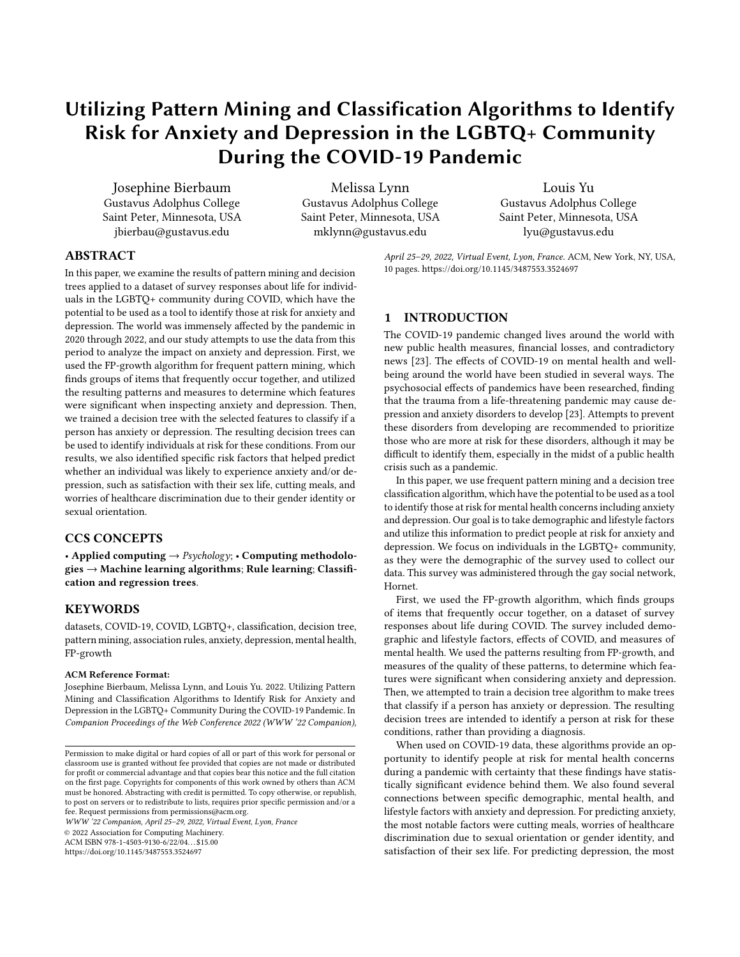- [29] E. Umucu and B. Lee. Examining the impact of covid-19 on stress and coping<br>strategies in individuals with disabilities and chronic conditions.<br>Psychology, 65(3):193 198, 2020.
- [30] T. P. Velavan and C. G. Meyer. The covid-19 epidenliimpical medicine &<br>international health : TM & II-25(3):278 280, Mar 2020.
- [31] X. Yan and J. Han. gspan: graph-based substructure pattern mining000 IEEE
- International Conference on Data Mining, 2002. Proceedingss 721 724, 2002.<br>[32] H. Yoo, S. Han, and K. Chung. A frequency pattern mining model based on deep neural network for real-time classi cation of heart conditions lealthcare8(3),
- 2020. [33] Q. Zhang, Q. Long, and J. Ott. Apriorigwas, a new pattern mining strategy for detecting genetic variants associated with disease through interaction e ects.<br>PLOS Computational Biology0(6):1 14, 06 2014.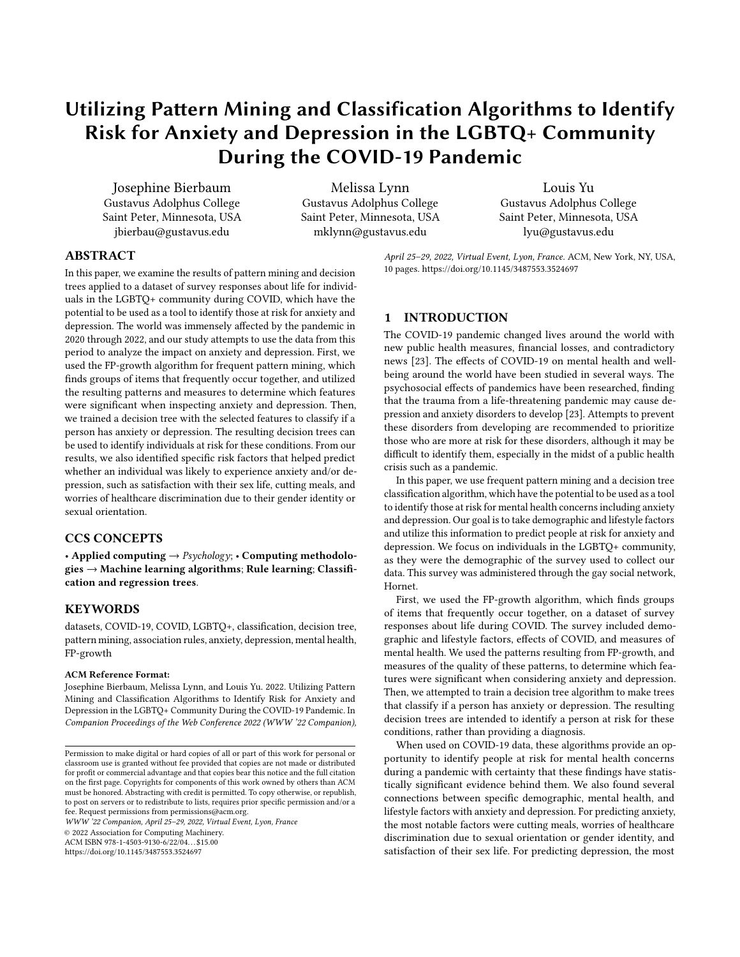# WWW '22 Companion, April 25 29, 2022, Virtual Event, Lyon, France Josephine Bierbaum, Melissa Lynn, and Louis Yu

| Antecedent 1                         | Antecedent 2                 | Antecedent 3         | Antecedent 4        | Anxiety         | Conf   | Lift   | Support |
|--------------------------------------|------------------------------|----------------------|---------------------|-----------------|--------|--------|---------|
| Need bene ts                         | Universal healthcare         | No drug use          |                     | Yes             | 0.3688 | 1.8974 | 0.0915  |
| Need bene ts                         | Citizen                      | No drug use          |                     | Yes             | 0.3384 | 1.7408 | 0.0787  |
| Movement somewhat restricted         | Universal healthcare         | No drug use          |                     | <b>Yes</b>      | 0.3124 | 1.6071 | 0.1038  |
| Movement somewhat restricted         | No sex work                  | Universal healthcare | No drug use         | Yes             | 0.2967 | 1.5263 | 0.0833  |
| Citizen                              |                              |                      |                     | <b>Yes</b>      | 0.2901 | 1.4923 | 0.1372  |
| Universal healthcare                 | Homosexuality legal          |                      |                     | Yes             | 0.2609 | 1.3421 | 0.1238  |
| Has mask access                      | Universal healthcare         | No drug use          | Homosexuality legal | <b>Yes</b>      | 0.2788 | 1.4344 | 0.0985  |
| Texting                              | Citizen                      | No drug use          | Homosexuality legal | Yes             | 0.2849 | 1.4656 | 0.0863  |
| Lower middle                         |                              |                      |                     | Yes             | 0.3356 | 1.7267 | 0.0856  |
| Single                               |                              |                      |                     | Yes             | 0.3153 | 1.6221 | 0.1329  |
| Use apps to hook up                  | Universal healthcare         | No drug use          | Homosexuality legal | <b>Yes</b>      | 0.2939 | 1.5118 | 0.0819  |
| Emotionally safe                     | Not lose health insurance    | <b>HIV</b> negative  | Homosexuality legal | N <sub>o</sub>  | 0.8369 | 1.6005 | 0.0835  |
| Has health insurance                 | Not lose health insurance    | Has mask access      | No sex work         | N <sub>o</sub>  | 0.7087 | 1.3552 | 0.098   |
| Believes can make positive di erence | Gav                          | Has mask access      |                     | No              | 0.6389 | 1.2219 | 0.0925  |
| Parents are native                   | Movement somewhat restricted | <b>Trust WHO</b>     | Homosexuality legal | $\overline{No}$ | 0.6642 | 1.2702 | 0.1371  |
| Video calls                          | Movement somewhat restricted | <b>Yes</b>           | No sex work         | N <sub>o</sub>  | 0.6924 | 1.3241 | 0.1137  |
| Citizen                              | Not cutting meals            | No sex work          |                     | <b>No</b>       | 0.7119 | 1.3614 | 0.2162  |
| Video calls                          | Gav                          | Use apps to hook up  | <b>Yes</b>          | No              | 0.6779 | 1.2963 | 0.0806  |
| Able to make ends meet               | Has sources of hope          | No drug use          | Homosexuality legal | No              | 0.7989 | 1.5278 | 0.1009  |
| Has health insurance                 | Low depressed                | Parents are native   | No sex work         | N <sub>o</sub>  | 0.8989 | 1.7191 | 0.1038  |

Table 2: Anxiety Association Rules

| Antecedent 1                 | Antecedent 2              | Antecedent 3        | Antecedent 4         | Antecedent 5         | Dep | Conf   | Lift   |         |
|------------------------------|---------------------------|---------------------|----------------------|----------------------|-----|--------|--------|---------|
|                              |                           |                     |                      |                      |     |        |        | Support |
| Emotionally safe             | Not lose health insurance | HIV negative        | Homosexuality legal  |                      | No  | 0.8185 | 2.2132 | 0.0817  |
| Not lose health insurance    | Video calls               | Movement restricted | No sex work          | No drug use          | No  | 0.7087 | 1.9163 | 0.0842  |
| Not lose health insurance    | Parents are native        | Movement restricted | Citizen              | Homosexuality legal  | No  | 0.6816 | 1.8431 | 0.1005  |
| Has health insurance         | Not lose health insurance | Has mask access     | No sex work          |                      | No  | 0.6926 | 1.8728 | 0.0958  |
| Believes can make di erencel | Gav                       | Has mask access     |                      |                      | No  | 0.6151 | 1.6632 | 0.089   |
| Has health insurance         | Able to live happy life   | Has sources of hope | Gav                  | Has mask access      | No  | 0.7854 | 2.1238 | 0.0792  |
| Video calls                  | Gav                       | Citizen             | Not cutting meals    | <b>Trust WHO</b>     | No  | 0.6798 | 1.8382 | 0.0847  |
| Parents are native           | Movement restricted       | Trust WHO           | Homosexuality legal  |                      | No  | 0.6274 | 1.6965 | 0.1295  |
| Has health insurance         | Able to live happy life   | Gav                 | No sex work          | Universal healthcare | No  | 0.7558 | 2.0438 | 0.0796  |
| Video calls                  | Movement restricted       | Yes                 | No sex work          |                      | No  | 0.6526 | 1.7648 | 0.1071  |
| Citizen                      | Not cutting meals         | No sex work         |                      |                      | No  | 0.6735 | 1.8212 | 0.2045  |
| Video calls                  | Gav                       | Not cutting meals   | Has mask access      | No sex work          | No  | 0.7063 | 1.9098 | 0.088   |
| Gay                          | Parents are native        | Citizen             | No sex work          | <b>Trust WHO</b>     | No  | 0.6388 | 1.7273 | 0.1054  |
| Video calls                  | Texting                   | Gay                 | <b>Yes</b>           | Not cutting meals    | No  | 0.7124 | 1.9265 | 0.0797  |
| Not lose health insurance    | Video calls               | Gav                 | Not cutting meals    | Has mask access      | No  | 0.7407 | 2.003  | 0.0857  |
| Not lose health insurance    | Use apps to hook up       | Has mask access     | Universal healthcare | Homosexuality legal  | No  | 0.6623 | 1.7909 | 0.1008  |
| Has health insurance         | Has sources of hope       | Citizen             | Yes                  | Homosexuality legal  | No  | 0.7434 | 2.0102 | 0.0907  |
| Video calls                  | Textina                   | Gav                 | Citizen              | Not cutting meals    | No  | 0.6804 | 1.8398 | 0.0951  |
| Healthcare discrimination    | Gav                       | Citizen             | Universal healthcare | No drug use          | No  | 0.7286 | 1.9702 | 0.0999  |
| Not lose health insurance    | Citizen                   | Not cutting meals   | No sex work          | Universal healthcare | No  | 0.7017 | 1.8975 | 0.0917  |

Table 3: Top Lift Depression Association Rules

| Antecedent 1                 | Antecedent 2         | Antecedent 3         | Antecedent 4        | Antecedent 5        | Anxiety    | Conf   | Lift   | Support |
|------------------------------|----------------------|----------------------|---------------------|---------------------|------------|--------|--------|---------|
| Gay                          | Single               |                      |                     |                     | Yes        | 0.3011 | .5489  | 0.0817  |
| Single                       | Has mask access      | Homosexuality legal  |                     |                     | Yes        | 0.2856 | 1.4693 | 0.0845  |
| Universal healthcare         | <b>Trust WHO</b>     | Homosexuality legal  |                     |                     | <b>Yes</b> | 0.2985 | .5356  | 0.0927  |
| Not cutting meals            | <b>Trust WHO</b>     | No drug use          |                     |                     | Yes        | 0.2472 | 1.2719 | 0.0842  |
| Outdoor Space                | No sex work          | Universal healthcare | No drug use         |                     | <b>Yes</b> | 0.27   | .3889  | 0.0866  |
| Movement somewhat restricted | <b>Trust WHO</b>     | No drug use          |                     |                     | Yes        | 0.3097 | 1.593  | 0.0977  |
| <b>Trust WHO</b>             | Homosexuality legal  |                      |                     |                     | <b>Yes</b> | 0.289  | 1.4868 | 0.1126  |
| Outdoor Space                | Universal healthcare | Homosexuality legal  |                     |                     | Yes        | 0.2686 | 1.382  | 0.0871  |
| Textina                      | No sex work          | No drug use          | Homosexuality legal |                     | Yes        | 0.2718 | 1.398  | 0.0781  |
| Single                       | Has mask access      | No drug use          |                     |                     | Yes        | 0.2985 | 1.5354 | 0.0873  |
| Has mask access              | No sex work          | No drug use          |                     |                     | <b>Yes</b> | 0.2649 | .3627  | 0.0994  |
| Gay                          | Has mask access      | No drug use          |                     |                     | Yes        | 0.2773 | 1.4266 | 0.0929  |
| Citizen                      | HIV negative         | No drug use          | Homosexuality legal |                     | <b>Yes</b> | 0.2727 | 1.4028 | 0.0819  |
| Video calls                  | Universal healthcare | No drug use          |                     |                     | Yes        | 0.2997 | .5416  | 0.0888  |
| No drug use                  | Homosexuality legal  |                      |                     |                     | <b>Yes</b> | 0.2806 | 1.4433 | 0.1414  |
| Parents are native           | Use apps to hook up  |                      |                     |                     | Yes        | 0.2828 | 1.4547 | 0.0788  |
| Has mask access              | No sex work          | Universal healthcare | No drug use         | Homosexuality legal | <b>Yes</b> | 0.2654 | .3654  | 0.0783  |
| <b>Outdoor Space</b>         | No sex work          | Homosexuality legal  |                     |                     | Yes        | 0.2461 | .2662  | 0.0791  |
| Textina                      | Citizen              | Homosexuality legal  |                     |                     | Yes        | 0.2873 | 1.478  | 0.0899  |
| Movement somewhat restricted | <b>Trust WHO</b>     |                      |                     |                     | Yes        | 0.3089 | .5891  | 0.1015  |

Table 4: Top Lift Anxiety Association Rules